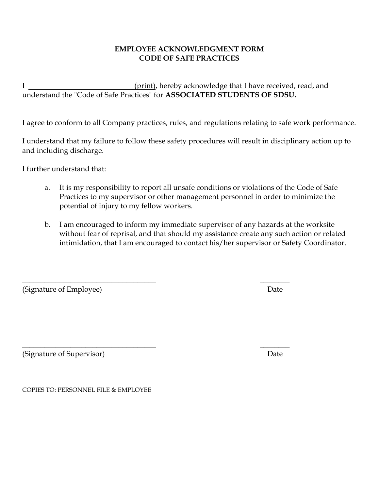## **EMPLOYEE ACKNOWLEDGMENT FORM CODE OF SAFE PRACTICES**

I (print), hereby acknowledge that I have received, read, and understand the "Code of Safe Practices" for **ASSOCIATED STUDENTS OF SDSU.**

I agree to conform to all Company practices, rules, and regulations relating to safe work performance.

I understand that my failure to follow these safety procedures will result in disciplinary action up to and including discharge.

I further understand that:

- a. It is my responsibility to report all unsafe conditions or violations of the Code of Safe Practices to my supervisor or other management personnel in order to minimize the potential of injury to my fellow workers.
- b. I am encouraged to inform my immediate supervisor of any hazards at the worksite without fear of reprisal, and that should my assistance create any such action or related intimidation, that I am encouraged to contact his/her supervisor or Safety Coordinator.

(Signature of Employee) and the set of  $\Box$  Date

(Signature of Supervisor) Date

COPIES TO: PERSONNEL FILE & EMPLOYEE

 $\overline{\phantom{a}}$  , and the contract of the contract of the contract of the contract of the contract of the contract of the contract of the contract of the contract of the contract of the contract of the contract of the contrac

 $\overline{\phantom{a}}$  , and the contract of the contract of the contract of the contract of the contract of the contract of the contract of the contract of the contract of the contract of the contract of the contract of the contrac